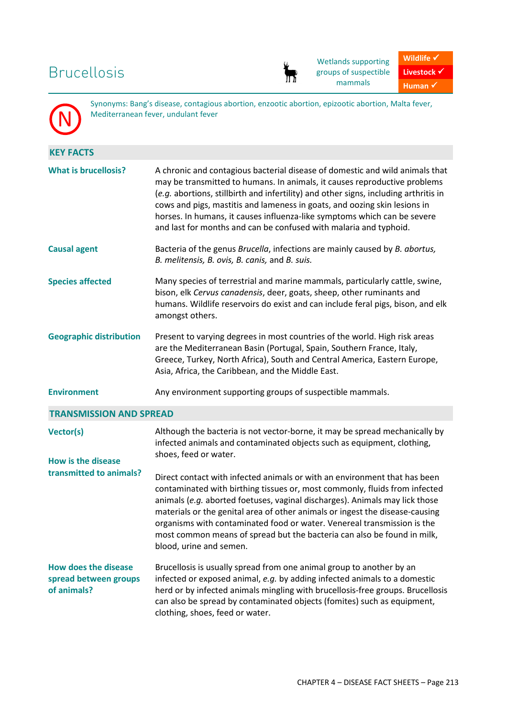## Brucellosis

N



Wetlands supporting groups of suspectible mammals



Synonyms: Bang's disease, contagious abortion, enzootic abortion, epizootic abortion, Malta fever, Mediterranean fever, undulant fever

| <b>KEY FACTS</b>                                                    |                                                                                                                                                                                                                                                                                                                                                                                                                                                                                                         |  |
|---------------------------------------------------------------------|---------------------------------------------------------------------------------------------------------------------------------------------------------------------------------------------------------------------------------------------------------------------------------------------------------------------------------------------------------------------------------------------------------------------------------------------------------------------------------------------------------|--|
| <b>What is brucellosis?</b>                                         | A chronic and contagious bacterial disease of domestic and wild animals that<br>may be transmitted to humans. In animals, it causes reproductive problems<br>(e.g. abortions, stillbirth and infertility) and other signs, including arthritis in<br>cows and pigs, mastitis and lameness in goats, and oozing skin lesions in<br>horses. In humans, it causes influenza-like symptoms which can be severe<br>and last for months and can be confused with malaria and typhoid.                         |  |
| <b>Causal agent</b>                                                 | Bacteria of the genus Brucella, infections are mainly caused by B. abortus,<br>B. melitensis, B. ovis, B. canis, and B. suis.                                                                                                                                                                                                                                                                                                                                                                           |  |
| <b>Species affected</b>                                             | Many species of terrestrial and marine mammals, particularly cattle, swine,<br>bison, elk Cervus canadensis, deer, goats, sheep, other ruminants and<br>humans. Wildlife reservoirs do exist and can include feral pigs, bison, and elk<br>amongst others.                                                                                                                                                                                                                                              |  |
| <b>Geographic distribution</b>                                      | Present to varying degrees in most countries of the world. High risk areas<br>are the Mediterranean Basin (Portugal, Spain, Southern France, Italy,<br>Greece, Turkey, North Africa), South and Central America, Eastern Europe,<br>Asia, Africa, the Caribbean, and the Middle East.                                                                                                                                                                                                                   |  |
| <b>Environment</b>                                                  | Any environment supporting groups of suspectible mammals.                                                                                                                                                                                                                                                                                                                                                                                                                                               |  |
| <b>TRANSMISSION AND SPREAD</b>                                      |                                                                                                                                                                                                                                                                                                                                                                                                                                                                                                         |  |
| Vector(s)<br><b>How is the disease</b><br>transmitted to animals?   | Although the bacteria is not vector-borne, it may be spread mechanically by<br>infected animals and contaminated objects such as equipment, clothing,<br>shoes, feed or water.                                                                                                                                                                                                                                                                                                                          |  |
|                                                                     | Direct contact with infected animals or with an environment that has been<br>contaminated with birthing tissues or, most commonly, fluids from infected<br>animals (e.g. aborted foetuses, vaginal discharges). Animals may lick those<br>materials or the genital area of other animals or ingest the disease-causing<br>organisms with contaminated food or water. Venereal transmission is the<br>most common means of spread but the bacteria can also be found in milk,<br>blood, urine and semen. |  |
| <b>How does the disease</b><br>spread between groups<br>of animals? | Brucellosis is usually spread from one animal group to another by an<br>infected or exposed animal, e.g. by adding infected animals to a domestic<br>herd or by infected animals mingling with brucellosis-free groups. Brucellosis<br>can also be spread by contaminated objects (fomites) such as equipment,<br>clothing, shoes, feed or water.                                                                                                                                                       |  |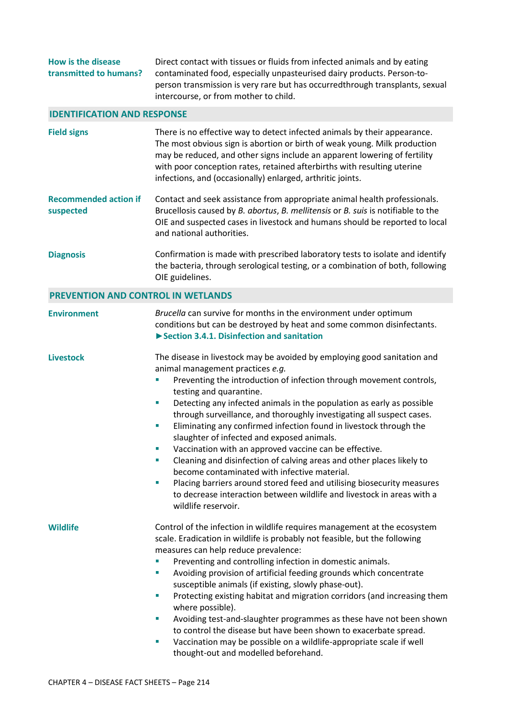| How is the disease     | Direct contact with tissues or fluids from infected animals and by eating     |
|------------------------|-------------------------------------------------------------------------------|
| transmitted to humans? | contaminated food, especially unpasteurised dairy products. Person-to-        |
|                        | person transmission is very rare but has occurred through transplants, sexual |
|                        | intercourse, or from mother to child.                                         |

## **IDENTIFICATION AND RESPONSE**

| <b>Field signs</b>                        | There is no effective way to detect infected animals by their appearance.<br>The most obvious sign is abortion or birth of weak young. Milk production<br>may be reduced, and other signs include an apparent lowering of fertility<br>with poor conception rates, retained afterbirths with resulting uterine<br>infections, and (occasionally) enlarged, arthritic joints.                                                                                                                                                                                                                                                                                                                                                                                                                                                                                                          |
|-------------------------------------------|---------------------------------------------------------------------------------------------------------------------------------------------------------------------------------------------------------------------------------------------------------------------------------------------------------------------------------------------------------------------------------------------------------------------------------------------------------------------------------------------------------------------------------------------------------------------------------------------------------------------------------------------------------------------------------------------------------------------------------------------------------------------------------------------------------------------------------------------------------------------------------------|
| <b>Recommended action if</b><br>suspected | Contact and seek assistance from appropriate animal health professionals.<br>Brucellosis caused by B. abortus, B. mellitensis or B. suis is notifiable to the<br>OIE and suspected cases in livestock and humans should be reported to local<br>and national authorities.                                                                                                                                                                                                                                                                                                                                                                                                                                                                                                                                                                                                             |
| <b>Diagnosis</b>                          | Confirmation is made with prescribed laboratory tests to isolate and identify<br>the bacteria, through serological testing, or a combination of both, following<br>OIE guidelines.                                                                                                                                                                                                                                                                                                                                                                                                                                                                                                                                                                                                                                                                                                    |
| <b>PREVENTION AND CONTROL IN WETLANDS</b> |                                                                                                                                                                                                                                                                                                                                                                                                                                                                                                                                                                                                                                                                                                                                                                                                                                                                                       |
| <b>Environment</b>                        | Brucella can survive for months in the environment under optimum<br>conditions but can be destroyed by heat and some common disinfectants.<br>Section 3.4.1. Disinfection and sanitation                                                                                                                                                                                                                                                                                                                                                                                                                                                                                                                                                                                                                                                                                              |
| <b>Livestock</b>                          | The disease in livestock may be avoided by employing good sanitation and<br>animal management practices e.g.<br>Preventing the introduction of infection through movement controls,<br>T,<br>testing and quarantine.<br>Detecting any infected animals in the population as early as possible<br>m.<br>through surveillance, and thoroughly investigating all suspect cases.<br>Eliminating any confirmed infection found in livestock through the<br>ш<br>slaughter of infected and exposed animals.<br>Vaccination with an approved vaccine can be effective.<br>u,<br>Cleaning and disinfection of calving areas and other places likely to<br>u,<br>become contaminated with infective material.<br>Placing barriers around stored feed and utilising biosecurity measures<br>u,<br>to decrease interaction between wildlife and livestock in areas with a<br>wildlife reservoir. |
| <b>Wildlife</b>                           | Control of the infection in wildlife requires management at the ecosystem<br>scale. Eradication in wildlife is probably not feasible, but the following<br>measures can help reduce prevalence:<br>Preventing and controlling infection in domestic animals.<br>ш<br>Avoiding provision of artificial feeding grounds which concentrate<br>m,<br>susceptible animals (if existing, slowly phase-out).<br>Protecting existing habitat and migration corridors (and increasing them<br>m,<br>where possible).<br>Avoiding test-and-slaughter programmes as these have not been shown<br>m,<br>to control the disease but have been shown to exacerbate spread.<br>Vaccination may be possible on a wildlife-appropriate scale if well<br>u,<br>thought-out and modelled beforehand.                                                                                                     |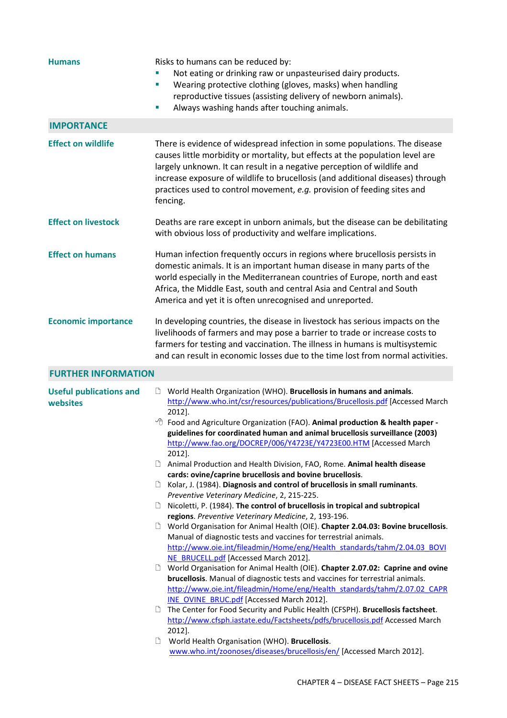| <b>Humans</b>                              | Risks to humans can be reduced by:<br>Not eating or drinking raw or unpasteurised dairy products.<br>Wearing protective clothing (gloves, masks) when handling<br>T,<br>reproductive tissues (assisting delivery of newborn animals).<br>Always washing hands after touching animals.<br>u,                                                                                                                                                                                                                                                                                                                                                                                                                                                                                                                                                                                                                                                                                                                                                                                                                                                                                                                                                                                                                                                                                                                                                                                                                                                                                                                                                                                                                                                       |
|--------------------------------------------|---------------------------------------------------------------------------------------------------------------------------------------------------------------------------------------------------------------------------------------------------------------------------------------------------------------------------------------------------------------------------------------------------------------------------------------------------------------------------------------------------------------------------------------------------------------------------------------------------------------------------------------------------------------------------------------------------------------------------------------------------------------------------------------------------------------------------------------------------------------------------------------------------------------------------------------------------------------------------------------------------------------------------------------------------------------------------------------------------------------------------------------------------------------------------------------------------------------------------------------------------------------------------------------------------------------------------------------------------------------------------------------------------------------------------------------------------------------------------------------------------------------------------------------------------------------------------------------------------------------------------------------------------------------------------------------------------------------------------------------------------|
| <b>IMPORTANCE</b>                          |                                                                                                                                                                                                                                                                                                                                                                                                                                                                                                                                                                                                                                                                                                                                                                                                                                                                                                                                                                                                                                                                                                                                                                                                                                                                                                                                                                                                                                                                                                                                                                                                                                                                                                                                                   |
| <b>Effect on wildlife</b>                  | There is evidence of widespread infection in some populations. The disease<br>causes little morbidity or mortality, but effects at the population level are<br>largely unknown. It can result in a negative perception of wildlife and<br>increase exposure of wildlife to brucellosis (and additional diseases) through<br>practices used to control movement, e.g. provision of feeding sites and<br>fencing.                                                                                                                                                                                                                                                                                                                                                                                                                                                                                                                                                                                                                                                                                                                                                                                                                                                                                                                                                                                                                                                                                                                                                                                                                                                                                                                                   |
| <b>Effect on livestock</b>                 | Deaths are rare except in unborn animals, but the disease can be debilitating<br>with obvious loss of productivity and welfare implications.                                                                                                                                                                                                                                                                                                                                                                                                                                                                                                                                                                                                                                                                                                                                                                                                                                                                                                                                                                                                                                                                                                                                                                                                                                                                                                                                                                                                                                                                                                                                                                                                      |
| <b>Effect on humans</b>                    | Human infection frequently occurs in regions where brucellosis persists in<br>domestic animals. It is an important human disease in many parts of the<br>world especially in the Mediterranean countries of Europe, north and east<br>Africa, the Middle East, south and central Asia and Central and South<br>America and yet it is often unrecognised and unreported.                                                                                                                                                                                                                                                                                                                                                                                                                                                                                                                                                                                                                                                                                                                                                                                                                                                                                                                                                                                                                                                                                                                                                                                                                                                                                                                                                                           |
| <b>Economic importance</b>                 | In developing countries, the disease in livestock has serious impacts on the<br>livelihoods of farmers and may pose a barrier to trade or increase costs to<br>farmers for testing and vaccination. The illness in humans is multisystemic<br>and can result in economic losses due to the time lost from normal activities.                                                                                                                                                                                                                                                                                                                                                                                                                                                                                                                                                                                                                                                                                                                                                                                                                                                                                                                                                                                                                                                                                                                                                                                                                                                                                                                                                                                                                      |
| <b>FURTHER INFORMATION</b>                 |                                                                                                                                                                                                                                                                                                                                                                                                                                                                                                                                                                                                                                                                                                                                                                                                                                                                                                                                                                                                                                                                                                                                                                                                                                                                                                                                                                                                                                                                                                                                                                                                                                                                                                                                                   |
| <b>Useful publications and</b><br>websites | World Health Organization (WHO). Brucellosis in humans and animals.<br>http://www.who.int/csr/resources/publications/Brucellosis.pdf [Accessed March<br>2012].<br><sup>t</sup> Food and Agriculture Organization (FAO). Animal production & health paper -<br>guidelines for coordinated human and animal brucellosis surveillance (2003)<br>http://www.fao.org/DOCREP/006/Y4723E/Y4723E00.HTM [Accessed March<br>2012].<br>D<br>Animal Production and Health Division, FAO, Rome. Animal health disease<br>cards: ovine/caprine brucellosis and bovine brucellosis.<br>Kolar, J. (1984). Diagnosis and control of brucellosis in small ruminants.<br>Ľ<br>Preventive Veterinary Medicine, 2, 215-225.<br>Nicoletti, P. (1984). The control of brucellosis in tropical and subtropical<br>Ľ<br>regions. Preventive Veterinary Medicine, 2, 193-196.<br>World Organisation for Animal Health (OIE). Chapter 2.04.03: Bovine brucellosis.<br>ם<br>Manual of diagnostic tests and vaccines for terrestrial animals.<br>http://www.oie.int/fileadmin/Home/eng/Health standards/tahm/2.04.03 BOVI<br>NE BRUCELL.pdf [Accessed March 2012].<br>World Organisation for Animal Health (OIE). Chapter 2.07.02: Caprine and ovine<br>ப<br>brucellosis. Manual of diagnostic tests and vaccines for terrestrial animals.<br>http://www.oie.int/fileadmin/Home/eng/Health standards/tahm/2.07.02 CAPR<br><b>INE OVINE BRUC.pdf</b> [Accessed March 2012].<br>The Center for Food Security and Public Health (CFSPH). Brucellosis factsheet.<br>http://www.cfsph.iastate.edu/Factsheets/pdfs/brucellosis.pdf Accessed March<br>2012].<br>World Health Organisation (WHO). Brucellosis.<br>www.who.int/zoonoses/diseases/brucellosis/en/ [Accessed March 2012]. |